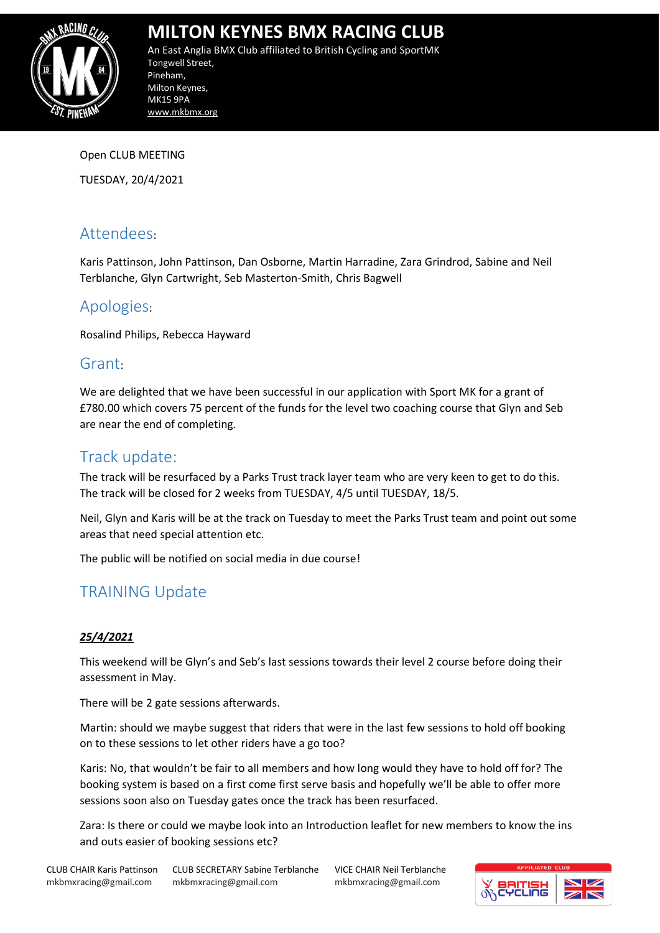

An East Anglia BMX Club affiliated to British Cycling and SportMK Tongwell Street, Pineham, Milton Keynes, MK15 9PA www.mkbmx.org

Open CLUB MEETING

TUESDAY, 20/4/2021

### Attendees:

Karis Pattinson, John Pattinson, Dan Osborne, Martin Harradine, Zara Grindrod, Sabine and Neil Terblanche, Glyn Cartwright, Seb Masterton-Smith, Chris Bagwell

### Apologies:

Rosalind Philips, Rebecca Hayward

### Grant:

We are delighted that we have been successful in our application with Sport MK for a grant of £780.00 which covers 75 percent of the funds for the level two coaching course that Glyn and Seb are near the end of completing.

### Track update:

The track will be resurfaced by a Parks Trust track layer team who are very keen to get to do this. The track will be closed for 2 weeks from TUESDAY, 4/5 until TUESDAY, 18/5.

Neil, Glyn and Karis will be at the track on Tuesday to meet the Parks Trust team and point out some areas that need special attention etc.

The public will be notified on social media in due course!

### TRAINING Update

### *25/4/2021*

This weekend will be Glyn's and Seb's last sessions towards their level 2 course before doing their assessment in May.

There will be 2 gate sessions afterwards.

Martin: should we maybe suggest that riders that were in the last few sessions to hold off booking on to these sessions to let other riders have a go too?

Karis: No, that wouldn't be fair to all members and how long would they have to hold off for? The booking system is based on a first come first serve basis and hopefully we'll be able to offer more sessions soon also on Tuesday gates once the track has been resurfaced.

Zara: Is there or could we maybe look into an Introduction leaflet for new members to know the ins and outs easier of booking sessions etc?

CLUB CHAIR Karis Pattinson mkbmxracing@gmail.com

CLUB SECRETARY Sabine Terblanche mkbmxracing@gmail.com

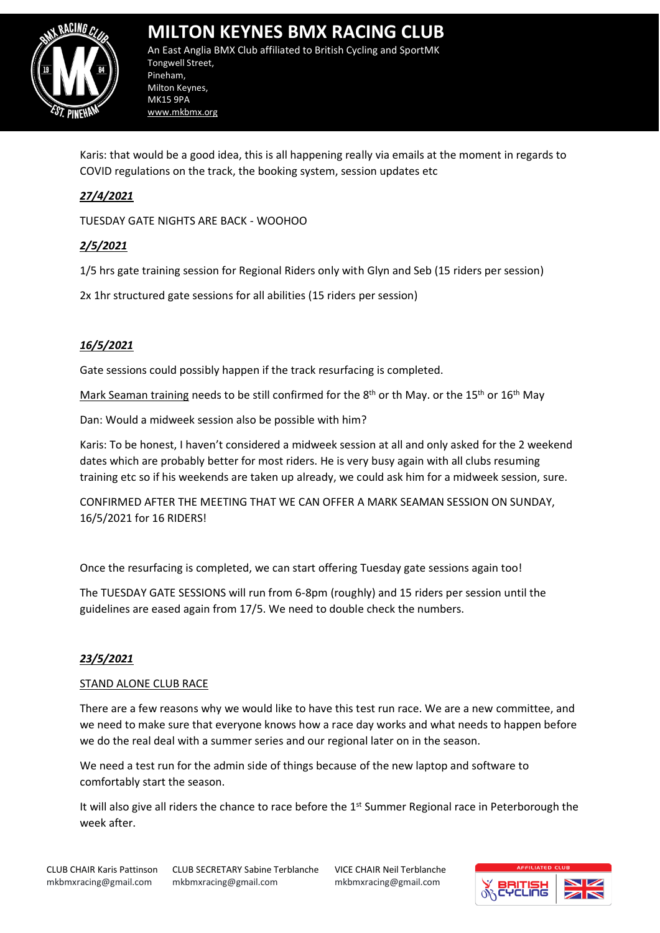

An East Anglia BMX Club affiliated to British Cycling and SportMK Tongwell Street, Pineham, Milton Keynes, MK15 9PA www.mkbmx.org

Karis: that would be a good idea, this is all happening really via emails at the moment in regards to COVID regulations on the track, the booking system, session updates etc

### *27/4/2021*

TUESDAY GATE NIGHTS ARE BACK - WOOHOO

#### *2/5/2021*

1/5 hrs gate training session for Regional Riders only with Glyn and Seb (15 riders per session)

2x 1hr structured gate sessions for all abilities (15 riders per session)

#### *16/5/2021*

Gate sessions could possibly happen if the track resurfacing is completed.

Mark Seaman training needs to be still confirmed for the 8<sup>th</sup> or th May. or the 15<sup>th</sup> or 16<sup>th</sup> May

Dan: Would a midweek session also be possible with him?

Karis: To be honest, I haven't considered a midweek session at all and only asked for the 2 weekend dates which are probably better for most riders. He is very busy again with all clubs resuming training etc so if his weekends are taken up already, we could ask him for a midweek session, sure.

CONFIRMED AFTER THE MEETING THAT WE CAN OFFER A MARK SEAMAN SESSION ON SUNDAY, 16/5/2021 for 16 RIDERS!

Once the resurfacing is completed, we can start offering Tuesday gate sessions again too!

The TUESDAY GATE SESSIONS will run from 6-8pm (roughly) and 15 riders per session until the guidelines are eased again from 17/5. We need to double check the numbers.

#### *23/5/2021*

#### STAND ALONE CLUB RACE

There are a few reasons why we would like to have this test run race. We are a new committee, and we need to make sure that everyone knows how a race day works and what needs to happen before we do the real deal with a summer series and our regional later on in the season.

We need a test run for the admin side of things because of the new laptop and software to comfortably start the season.

It will also give all riders the chance to race before the 1<sup>st</sup> Summer Regional race in Peterborough the week after.

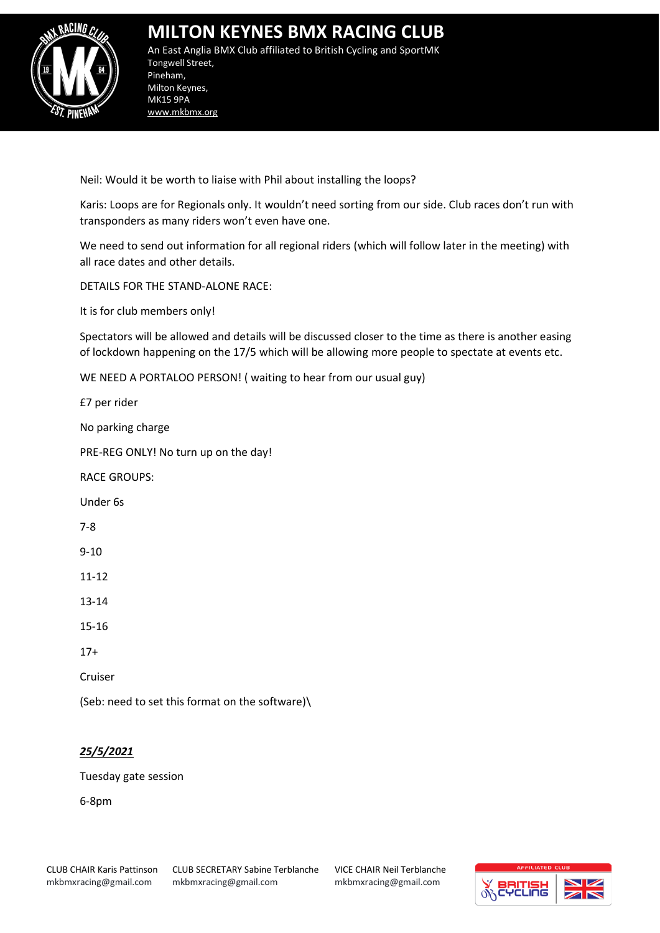

An East Anglia BMX Club affiliated to British Cycling and SportMK Tongwell Street, Pineham, Milton Keynes, MK15 9PA www.mkbmx.org

Neil: Would it be worth to liaise with Phil about installing the loops?

Karis: Loops are for Regionals only. It wouldn't need sorting from our side. Club races don't run with transponders as many riders won't even have one.

We need to send out information for all regional riders (which will follow later in the meeting) with all race dates and other details.

DETAILS FOR THE STAND-ALONE RACE:

It is for club members only!

Spectators will be allowed and details will be discussed closer to the time as there is another easing of lockdown happening on the 17/5 which will be allowing more people to spectate at events etc.

WE NEED A PORTALOO PERSON! ( waiting to hear from our usual guy)

£7 per rider

No parking charge

PRE-REG ONLY! No turn up on the day!

RACE GROUPS:

Under 6s

7-8

9-10

11-12

13-14

15-16

17+

Cruiser

(Seb: need to set this format on the software)\

### *25/5/2021*

Tuesday gate session

6-8pm

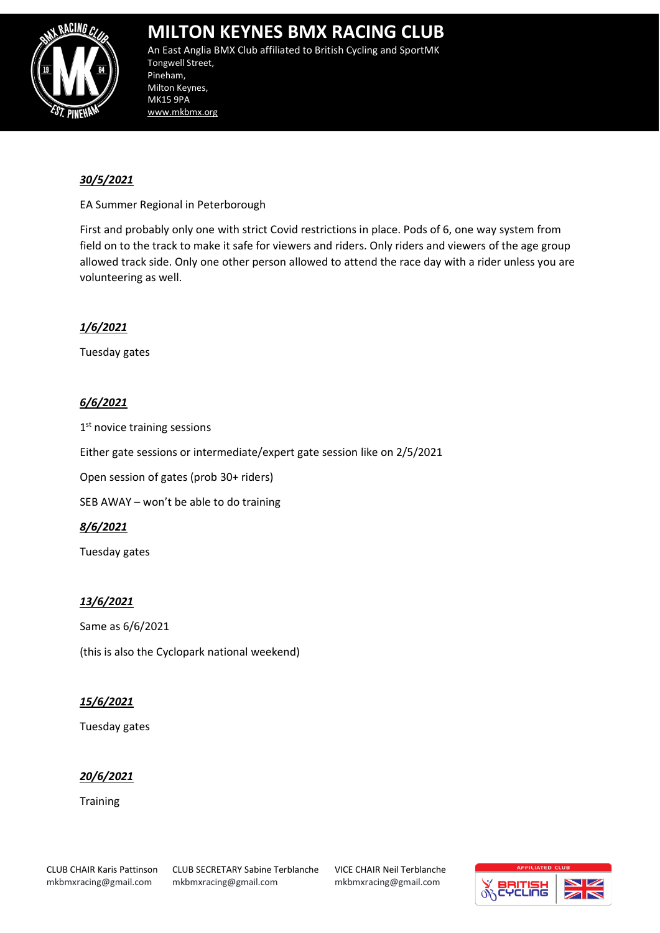

An East Anglia BMX Club affiliated to British Cycling and SportMK Tongwell Street, Pineham, Milton Keynes, MK15 9PA www.mkbmx.org

#### *30/5/2021*

EA Summer Regional in Peterborough

First and probably only one with strict Covid restrictions in place. Pods of 6, one way system from field on to the track to make it safe for viewers and riders. Only riders and viewers of the age group allowed track side. Only one other person allowed to attend the race day with a rider unless you are volunteering as well.

#### *1/6/2021*

Tuesday gates

#### *6/6/2021*

1st novice training sessions

Either gate sessions or intermediate/expert gate session like on 2/5/2021

Open session of gates (prob 30+ riders)

SEB AWAY – won't be able to do training

#### *8/6/2021*

Tuesday gates

#### *13/6/2021*

Same as 6/6/2021 (this is also the Cyclopark national weekend)

#### *15/6/2021*

Tuesday gates

#### *20/6/2021*

**Training** 

CLUB CHAIR Karis Pattinson mkbmxracing@gmail.com

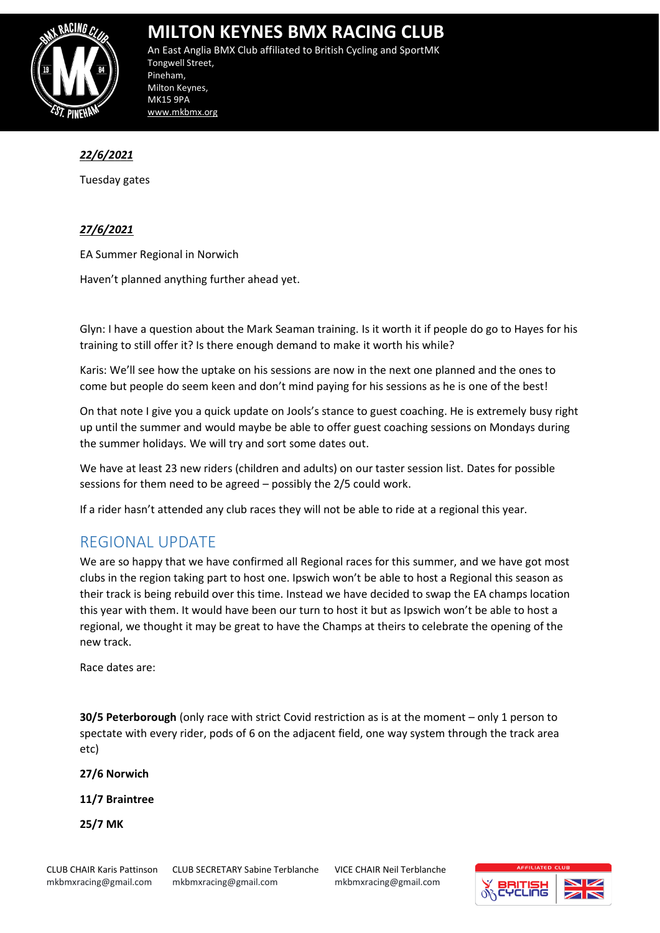

An East Anglia BMX Club affiliated to British Cycling and SportMK Tongwell Street, Pineham, Milton Keynes, MK15 9PA www.mkbmx.org

### *22/6/2021*

Tuesday gates

#### *27/6/2021*

EA Summer Regional in Norwich

Haven't planned anything further ahead yet.

Glyn: I have a question about the Mark Seaman training. Is it worth it if people do go to Hayes for his training to still offer it? Is there enough demand to make it worth his while?

Karis: We'll see how the uptake on his sessions are now in the next one planned and the ones to come but people do seem keen and don't mind paying for his sessions as he is one of the best!

On that note I give you a quick update on Jools's stance to guest coaching. He is extremely busy right up until the summer and would maybe be able to offer guest coaching sessions on Mondays during the summer holidays. We will try and sort some dates out.

We have at least 23 new riders (children and adults) on our taster session list. Dates for possible sessions for them need to be agreed – possibly the 2/5 could work.

If a rider hasn't attended any club races they will not be able to ride at a regional this year.

### REGIONAL UPDATE

We are so happy that we have confirmed all Regional races for this summer, and we have got most clubs in the region taking part to host one. Ipswich won't be able to host a Regional this season as their track is being rebuild over this time. Instead we have decided to swap the EA champs location this year with them. It would have been our turn to host it but as Ipswich won't be able to host a regional, we thought it may be great to have the Champs at theirs to celebrate the opening of the new track.

Race dates are:

**30/5 Peterborough** (only race with strict Covid restriction as is at the moment – only 1 person to spectate with every rider, pods of 6 on the adjacent field, one way system through the track area etc)

**27/6 Norwich**

**11/7 Braintree**

**25/7 MK**

CLUB CHAIR Karis Pattinson mkbmxracing@gmail.com

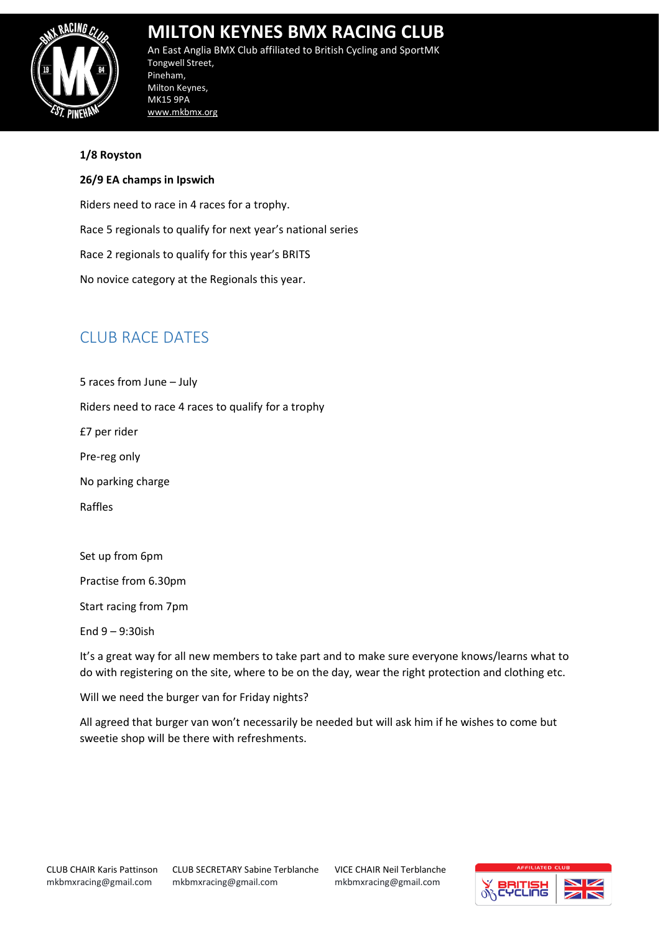

An East Anglia BMX Club affiliated to British Cycling and SportMK Tongwell Street, Pineham, Milton Keynes, MK15 9PA www.mkbmx.org

#### **1/8 Royston**

#### **26/9 EA champs in Ipswich**

Riders need to race in 4 races for a trophy. Race 5 regionals to qualify for next year's national series Race 2 regionals to qualify for this year's BRITS No novice category at the Regionals this year.

## CLUB RACE DATES

5 races from June – July Riders need to race 4 races to qualify for a trophy £7 per rider Pre-reg only No parking charge Raffles

Set up from 6pm

Practise from 6.30pm

Start racing from 7pm

End 9 – 9:30ish

It's a great way for all new members to take part and to make sure everyone knows/learns what to do with registering on the site, where to be on the day, wear the right protection and clothing etc.

Will we need the burger van for Friday nights?

All agreed that burger van won't necessarily be needed but will ask him if he wishes to come but sweetie shop will be there with refreshments.

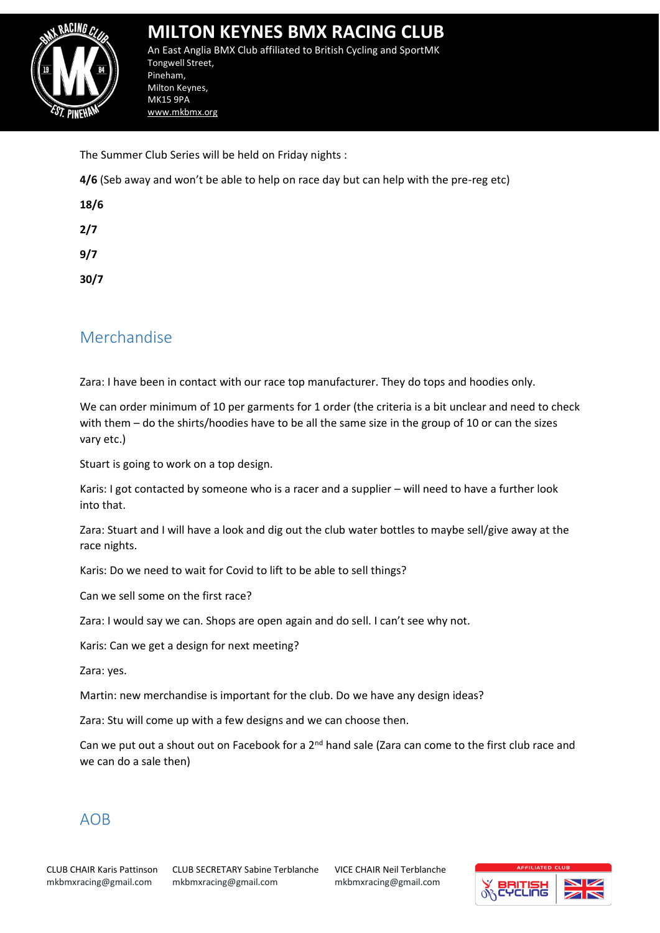

An East Anglia BMX Club affiliated to British Cycling and SportMK Tongwell Street, Pineham, Milton Keynes, MK15 9PA www.mkbmx.org

The Summer Club Series will be held on Friday nights :

**4/6** (Seb away and won't be able to help on race day but can help with the pre-reg etc)

| 18/6 |  |
|------|--|
| 2/7  |  |
| 9/7  |  |
| 30/7 |  |

### Merchandise

Zara: I have been in contact with our race top manufacturer. They do tops and hoodies only.

We can order minimum of 10 per garments for 1 order (the criteria is a bit unclear and need to check with them – do the shirts/hoodies have to be all the same size in the group of 10 or can the sizes vary etc.)

Stuart is going to work on a top design.

Karis: I got contacted by someone who is a racer and a supplier – will need to have a further look into that.

Zara: Stuart and I will have a look and dig out the club water bottles to maybe sell/give away at the race nights.

Karis: Do we need to wait for Covid to lift to be able to sell things?

Can we sell some on the first race?

Zara: I would say we can. Shops are open again and do sell. I can't see why not.

Karis: Can we get a design for next meeting?

Zara: yes.

Martin: new merchandise is important for the club. Do we have any design ideas?

Zara: Stu will come up with a few designs and we can choose then.

Can we put out a shout out on Facebook for a 2<sup>nd</sup> hand sale (Zara can come to the first club race and we can do a sale then)

### AOB